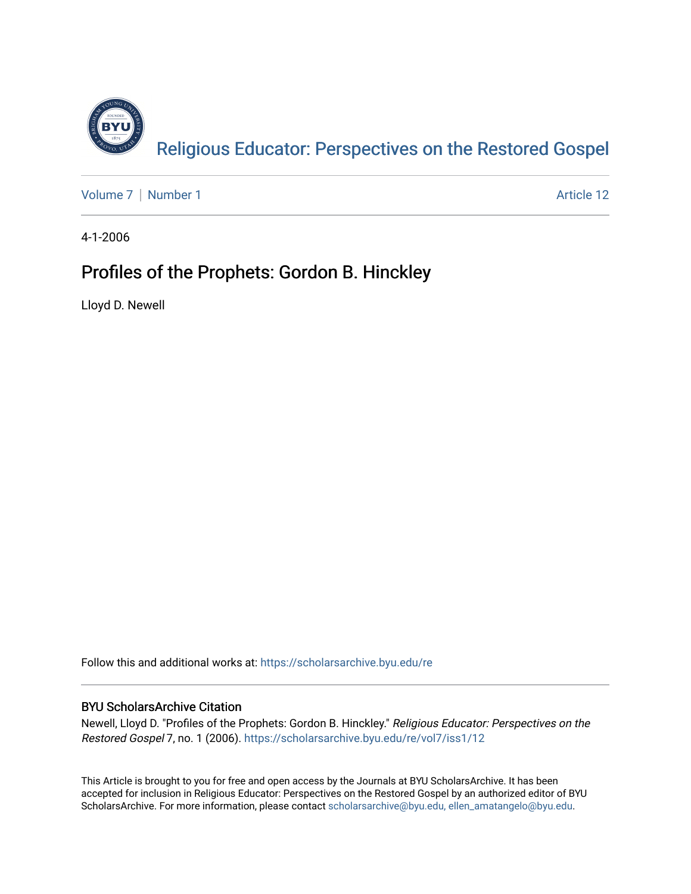

[Volume 7](https://scholarsarchive.byu.edu/re/vol7) | [Number 1](https://scholarsarchive.byu.edu/re/vol7/iss1) Article 12

4-1-2006

## Profiles of the Prophets: Gordon B. Hinckley

Lloyd D. Newell

Follow this and additional works at: [https://scholarsarchive.byu.edu/re](https://scholarsarchive.byu.edu/re?utm_source=scholarsarchive.byu.edu%2Fre%2Fvol7%2Fiss1%2F12&utm_medium=PDF&utm_campaign=PDFCoverPages)

#### BYU ScholarsArchive Citation

Newell, Lloyd D. "Profiles of the Prophets: Gordon B. Hinckley." Religious Educator: Perspectives on the Restored Gospel 7, no. 1 (2006). [https://scholarsarchive.byu.edu/re/vol7/iss1/12](https://scholarsarchive.byu.edu/re/vol7/iss1/12?utm_source=scholarsarchive.byu.edu%2Fre%2Fvol7%2Fiss1%2F12&utm_medium=PDF&utm_campaign=PDFCoverPages) 

This Article is brought to you for free and open access by the Journals at BYU ScholarsArchive. It has been accepted for inclusion in Religious Educator: Perspectives on the Restored Gospel by an authorized editor of BYU ScholarsArchive. For more information, please contact [scholarsarchive@byu.edu, ellen\\_amatangelo@byu.edu.](mailto:scholarsarchive@byu.edu,%20ellen_amatangelo@byu.edu)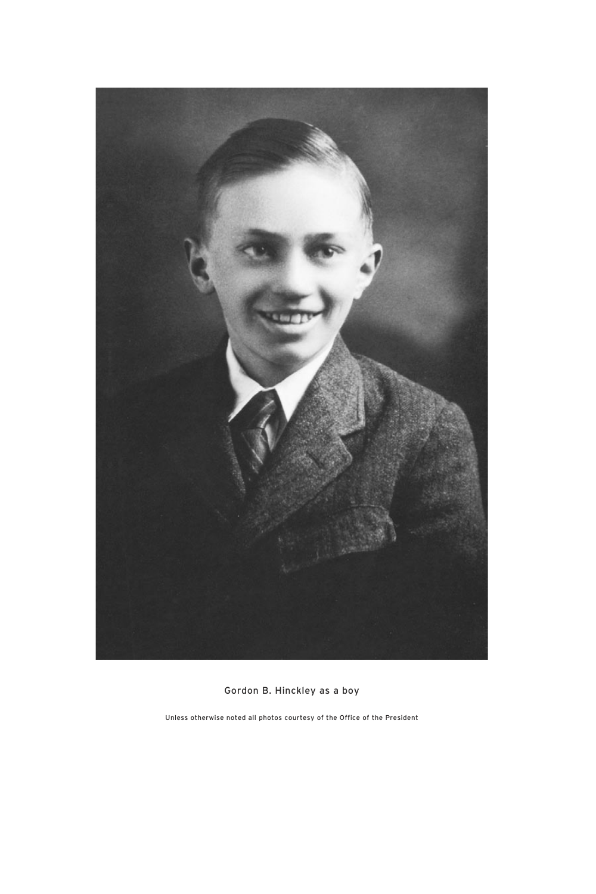

Gordon B. Hinckley as a boy

Unless otherwise noted all photos courtesy of the Office of the President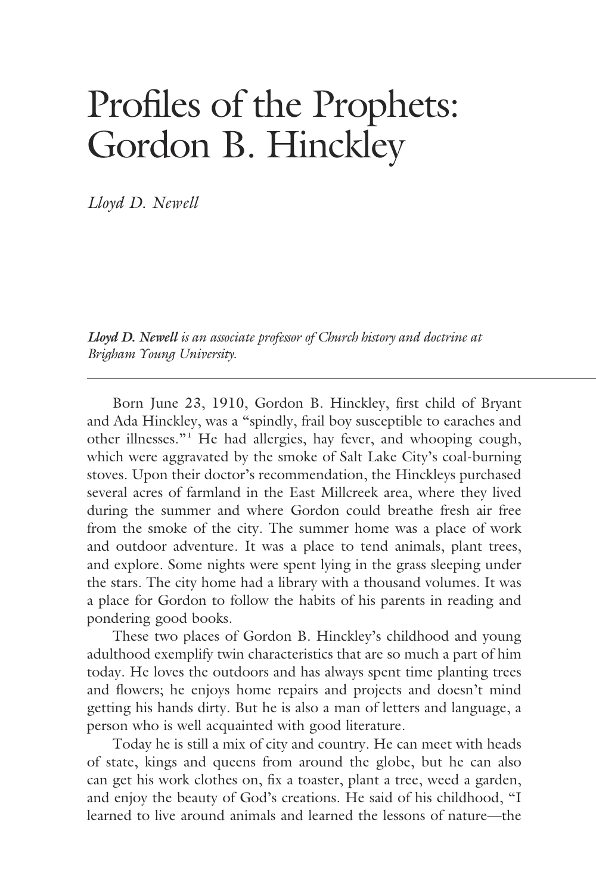# Profiles of the Prophets: Gordon B. Hinckley

*Lloyd D. Newell*

*Lloyd D. Newell is an associate professor of Church history and doctrine at Brigham Young University.*

 Born June 23, 1910, Gordon B. Hinckley, first child of Bryant and Ada Hinckley, was a "spindly, frail boy susceptible to earaches and other illnesses."**<sup>1</sup>** He had allergies, hay fever, and whooping cough, which were aggravated by the smoke of Salt Lake City's coal-burning stoves. Upon their doctor's recommendation, the Hinckleys purchased several acres of farmland in the East Millcreek area, where they lived during the summer and where Gordon could breathe fresh air free from the smoke of the city. The summer home was a place of work and outdoor adventure. It was a place to tend animals, plant trees, and explore. Some nights were spent lying in the grass sleeping under the stars. The city home had a library with a thousand volumes. It was a place for Gordon to follow the habits of his parents in reading and pondering good books.

 These two places of Gordon B. Hinckley's childhood and young adulthood exemplify twin characteristics that are so much a part of him today. He loves the outdoors and has always spent time planting trees and flowers; he enjoys home repairs and projects and doesn't mind getting his hands dirty. But he is also a man of letters and language, a person who is well acquainted with good literature.

 Today he is still a mix of city and country. He can meet with heads of state, kings and queens from around the globe, but he can also can get his work clothes on, fix a toaster, plant a tree, weed a garden, and enjoy the beauty of God's creations. He said of his childhood, "I learned to live around animals and learned the lessons of nature—the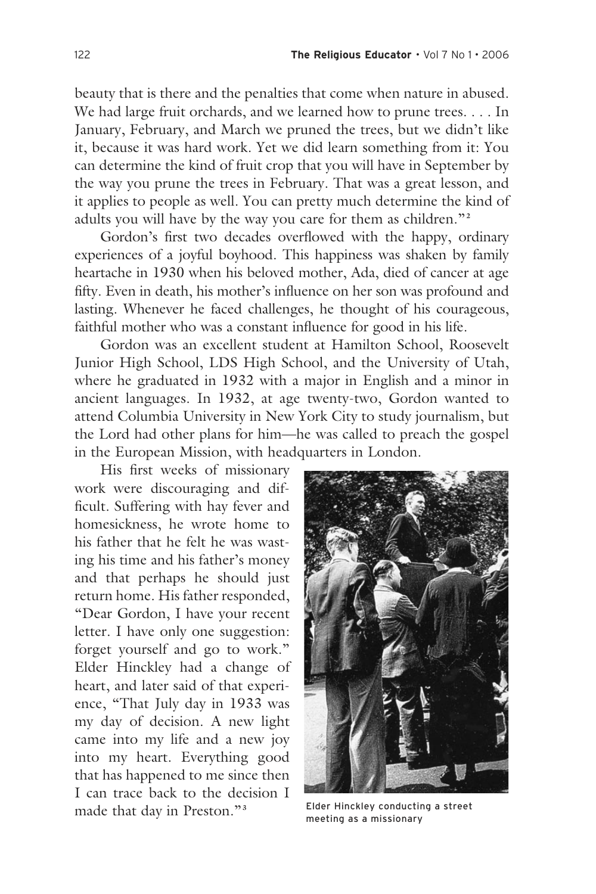beauty that is there and the penalties that come when nature in abused. We had large fruit orchards, and we learned how to prune trees. . . . In January, February, and March we pruned the trees, but we didn't like it, because it was hard work. Yet we did learn something from it: You can determine the kind of fruit crop that you will have in September by the way you prune the trees in February. That was a great lesson, and it applies to people as well. You can pretty much determine the kind of adults you will have by the way you care for them as children."**<sup>2</sup>**

 Gordon's first two decades overflowed with the happy, ordinary experiences of a joyful boyhood. This happiness was shaken by family heartache in 1930 when his beloved mother, Ada, died of cancer at age fifty. Even in death, his mother's influence on her son was profound and lasting. Whenever he faced challenges, he thought of his courageous, faithful mother who was a constant influence for good in his life.

 Gordon was an excellent student at Hamilton School, Roosevelt Junior High School, LDS High School, and the University of Utah, where he graduated in 1932 with a major in English and a minor in ancient languages. In 1932, at age twenty-two, Gordon wanted to attend Columbia University in New York City to study journalism, but the Lord had other plans for him—he was called to preach the gospel in the European Mission, with headquarters in London.

 His first weeks of missionary work were discouraging and difficult. Suffering with hay fever and homesickness, he wrote home to his father that he felt he was wasting his time and his father's money and that perhaps he should just return home. His father responded, "Dear Gordon, I have your recent letter. I have only one suggestion: forget yourself and go to work." Elder Hinckley had a change of heart, and later said of that experience, "That July day in 1933 was my day of decision. A new light came into my life and a new joy into my heart. Everything good that has happened to me since then I can trace back to the decision I made that day in Preston."**<sup>3</sup>**



Elder Hinckley conducting a street meeting as a missionary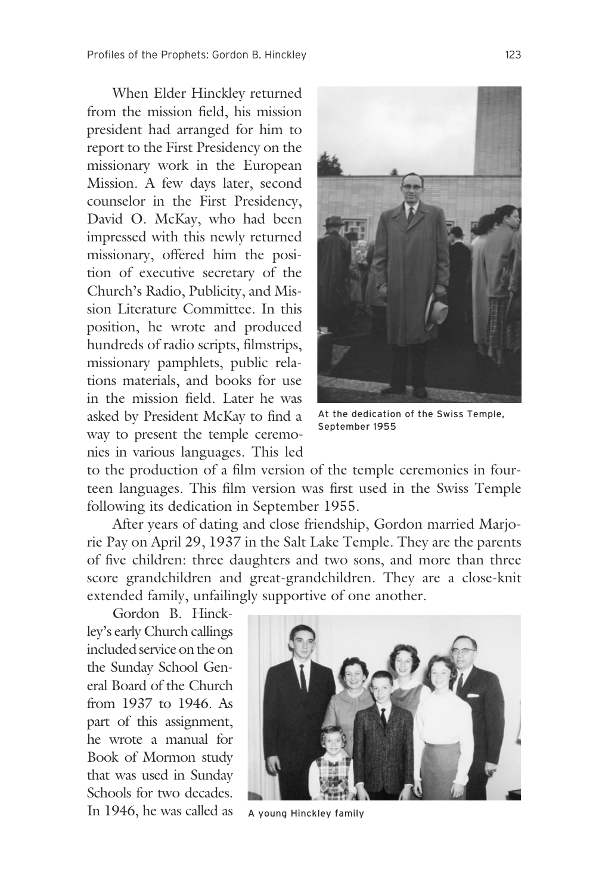When Elder Hinckley returned from the mission field, his mission president had arranged for him to report to the First Presidency on the missionary work in the European Mission. A few days later, second counselor in the First Presidency, David O. McKay, who had been impressed with this newly returned missionary, offered him the position of executive secretary of the Church's Radio, Publicity, and Mission Literature Committee. In this position, he wrote and produced hundreds of radio scripts, filmstrips, missionary pamphlets, public relations materials, and books for use in the mission field. Later he was asked by President McKay to find a way to present the temple ceremonies in various languages. This led



At the dedication of the Swiss Temple, September 1955

to the production of a film version of the temple ceremonies in fourteen languages. This film version was first used in the Swiss Temple following its dedication in September 1955.

 After years of dating and close friendship, Gordon married Marjorie Pay on April 29, 1937 in the Salt Lake Temple. They are the parents of five children: three daughters and two sons, and more than three score grandchildren and great-grandchildren. They are a close-knit extended family, unfailingly supportive of one another.

 Gordon B. Hinckley's early Church callings included service on the on the Sunday School General Board of the Church from 1937 to 1946. As part of this assignment, he wrote a manual for Book of Mormon study that was used in Sunday Schools for two decades. In 1946, he was called as



A young Hinckley family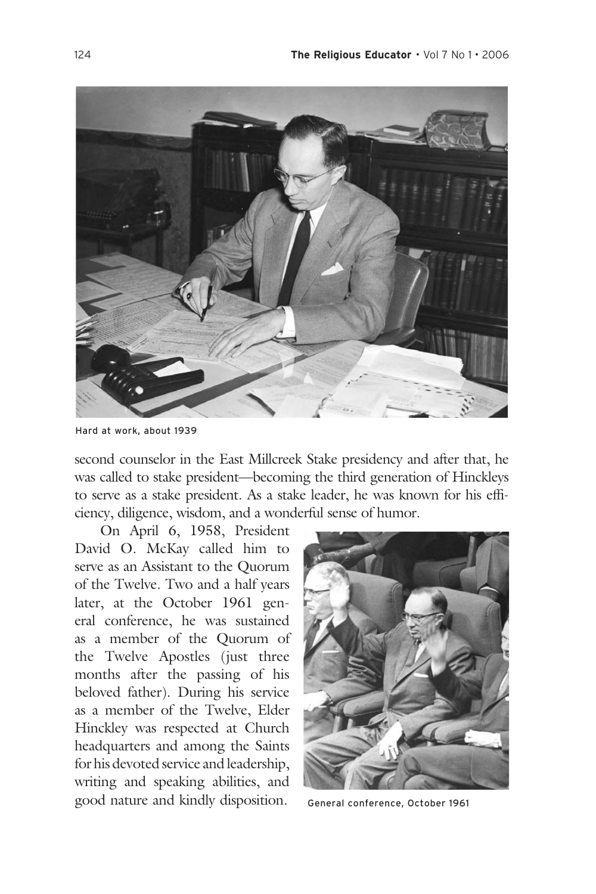

Hard at work, about 1939

second counselor in the East Millcreek Stake presidency and after that, he was called to stake president—becoming the third generation of Hinckleys to serve as a stake president. As a stake leader, he was known for his efficiency, diligence, wisdom, and a wonderful sense of humor.

 On April 6, 1958, President David O. McKay called him to serve as an Assistant to the Quorum of the Twelve. Two and a half years later, at the October 1961 general conference, he was sustained as a member of the Quorum of the Twelve Apostles (just three months after the passing of his beloved father). During his service as a member of the Twelve, Elder Hinckley was respected at Church headquarters and among the Saints for his devoted service and leadership, writing and speaking abilities, and good nature and kindly disposition.



General conference, October 1961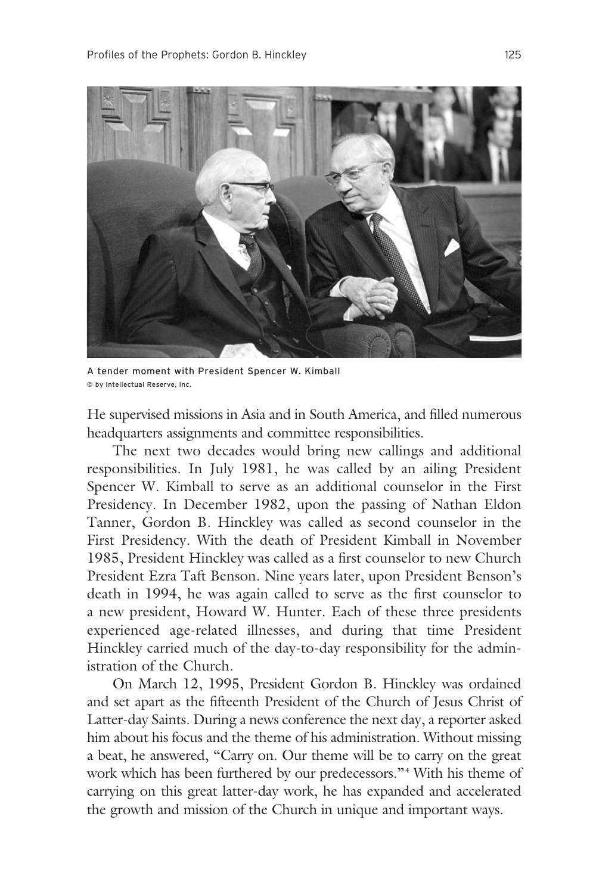

A tender moment with President Spencer W. Kimball © by Intellectual Reserve, Inc.

He supervised missions in Asia and in South America, and filled numerous headquarters assignments and committee responsibilities.

 The next two decades would bring new callings and additional responsibilities. In July 1981, he was called by an ailing President Spencer W. Kimball to serve as an additional counselor in the First Presidency. In December 1982, upon the passing of Nathan Eldon Tanner, Gordon B. Hinckley was called as second counselor in the First Presidency. With the death of President Kimball in November 1985, President Hinckley was called as a first counselor to new Church President Ezra Taft Benson. Nine years later, upon President Benson's death in 1994, he was again called to serve as the first counselor to a new president, Howard W. Hunter. Each of these three presidents experienced age-related illnesses, and during that time President Hinckley carried much of the day-to-day responsibility for the administration of the Church.

 On March 12, 1995, President Gordon B. Hinckley was ordained and set apart as the fifteenth President of the Church of Jesus Christ of Latter-day Saints. During a news conference the next day, a reporter asked him about his focus and the theme of his administration. Without missing a beat, he answered, "Carry on. Our theme will be to carry on the great work which has been furthered by our predecessors."**<sup>4</sup>** With his theme of carrying on this great latter-day work, he has expanded and accelerated the growth and mission of the Church in unique and important ways.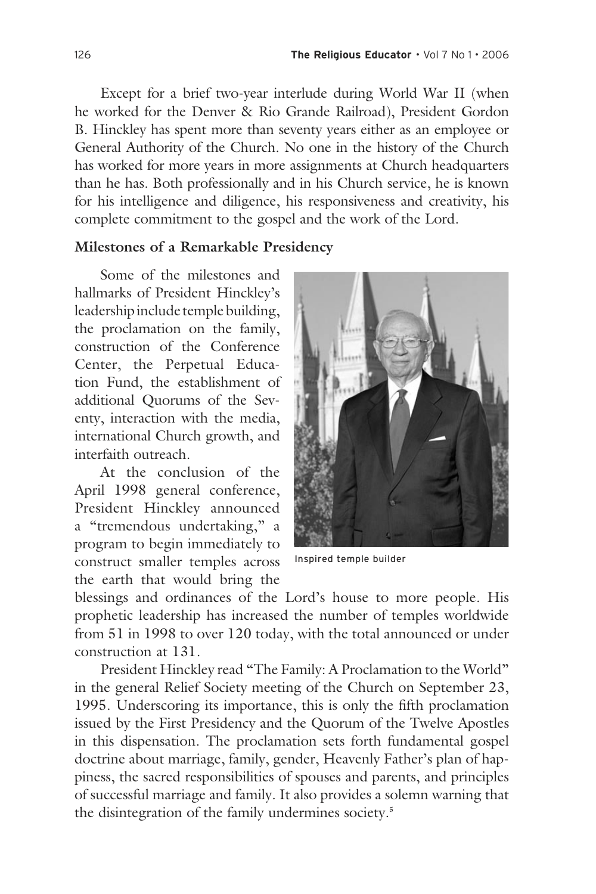Except for a brief two-year interlude during World War II (when he worked for the Denver & Rio Grande Railroad), President Gordon B. Hinckley has spent more than seventy years either as an employee or General Authority of the Church. No one in the history of the Church has worked for more years in more assignments at Church headquarters than he has. Both professionally and in his Church service, he is known for his intelligence and diligence, his responsiveness and creativity, his complete commitment to the gospel and the work of the Lord.

#### **Milestones of a Remarkable Presidency**

 Some of the milestones and hallmarks of President Hinckley's leadership include temple building, the proclamation on the family, construction of the Conference Center, the Perpetual Education Fund, the establishment of additional Quorums of the Seventy, interaction with the media, international Church growth, and interfaith outreach.

 At the conclusion of the April 1998 general conference, President Hinckley announced a "tremendous undertaking," a program to begin immediately to construct smaller temples across the earth that would bring the



Inspired temple builder

blessings and ordinances of the Lord's house to more people. His prophetic leadership has increased the number of temples worldwide from 51 in 1998 to over 120 today, with the total announced or under construction at 131.

 President Hinckley read "The Family: A Proclamation to the World" in the general Relief Society meeting of the Church on September 23, 1995. Underscoring its importance, this is only the fifth proclamation issued by the First Presidency and the Quorum of the Twelve Apostles in this dispensation. The proclamation sets forth fundamental gospel doctrine about marriage, family, gender, Heavenly Father's plan of happiness, the sacred responsibilities of spouses and parents, and principles of successful marriage and family. It also provides a solemn warning that the disintegration of the family undermines society.**<sup>5</sup>**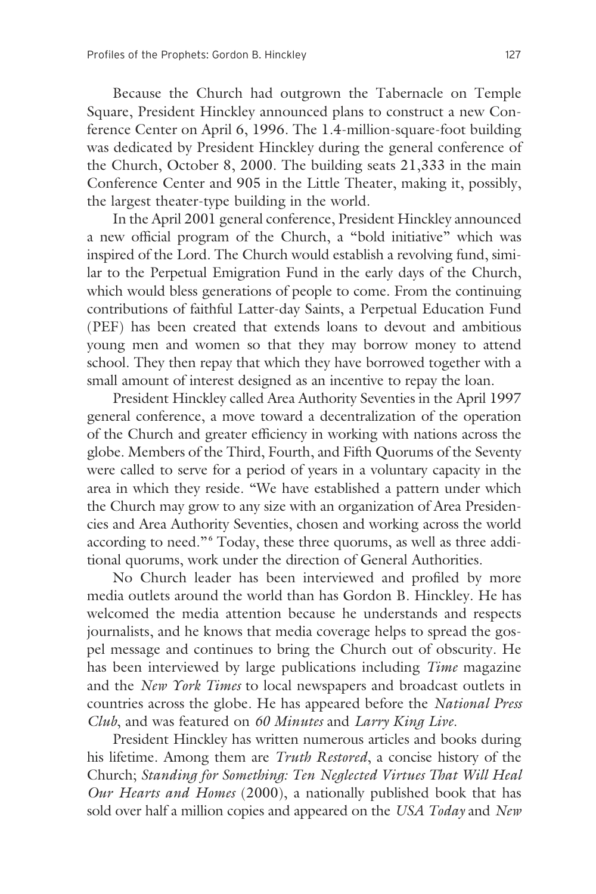Because the Church had outgrown the Tabernacle on Temple Square, President Hinckley announced plans to construct a new Conference Center on April 6, 1996. The 1.4-million-square-foot building was dedicated by President Hinckley during the general conference of the Church, October 8, 2000. The building seats 21,333 in the main Conference Center and 905 in the Little Theater, making it, possibly, the largest theater-type building in the world.

 In the April 2001 general conference, President Hinckley announced a new official program of the Church, a "bold initiative" which was inspired of the Lord. The Church would establish a revolving fund, similar to the Perpetual Emigration Fund in the early days of the Church, which would bless generations of people to come. From the continuing contributions of faithful Latter-day Saints, a Perpetual Education Fund (PEF) has been created that extends loans to devout and ambitious young men and women so that they may borrow money to attend school. They then repay that which they have borrowed together with a small amount of interest designed as an incentive to repay the loan.

 President Hinckley called Area Authority Seventies in the April 1997 general conference, a move toward a decentralization of the operation of the Church and greater efficiency in working with nations across the globe. Members of the Third, Fourth, and Fifth Quorums of the Seventy were called to serve for a period of years in a voluntary capacity in the area in which they reside. "We have established a pattern under which the Church may grow to any size with an organization of Area Presidencies and Area Authority Seventies, chosen and working across the world according to need."<sup>6</sup> Today, these three quorums, as well as three additional quorums, work under the direction of General Authorities.

 No Church leader has been interviewed and profiled by more media outlets around the world than has Gordon B. Hinckley. He has welcomed the media attention because he understands and respects journalists, and he knows that media coverage helps to spread the gospel message and continues to bring the Church out of obscurity. He has been interviewed by large publications including *Time* magazine and the *New York Times* to local newspapers and broadcast outlets in countries across the globe. He has appeared before the *National Press Club*, and was featured on *60 Minutes* and *Larry King Live*.

 President Hinckley has written numerous articles and books during his lifetime. Among them are *Truth Restored*, a concise history of the Church; *Standing for Something: Ten Neglected Virtues That Will Heal Our Hearts and Homes* (2000), a nationally published book that has sold over half a million copies and appeared on the *USA Today* and *New*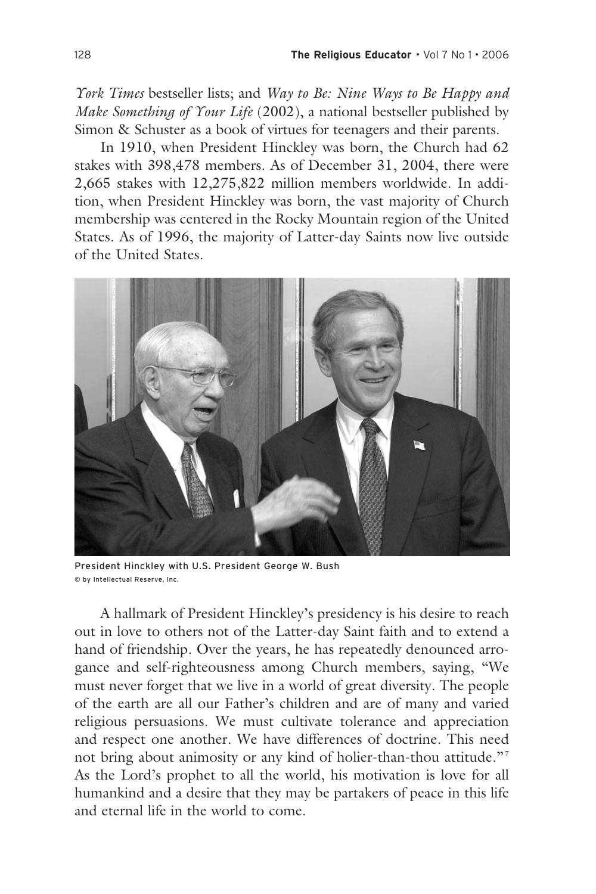*York Times* bestseller lists; and *Way to Be: Nine Ways to Be Happy and Make Something of Your Life* (2002), a national bestseller published by Simon & Schuster as a book of virtues for teenagers and their parents.

 In 1910, when President Hinckley was born, the Church had 62 stakes with 398,478 members. As of December 31, 2004, there were 2,665 stakes with 12,275,822 million members worldwide. In addition, when President Hinckley was born, the vast majority of Church membership was centered in the Rocky Mountain region of the United States. As of 1996, the majority of Latter-day Saints now live outside of the United States.



President Hinckley with U.S. President George W. Bush © by Intellectual Reserve, Inc.

 A hallmark of President Hinckley's presidency is his desire to reach out in love to others not of the Latter-day Saint faith and to extend a hand of friendship. Over the years, he has repeatedly denounced arrogance and self-righteousness among Church members, saying, "We must never forget that we live in a world of great diversity. The people of the earth are all our Father's children and are of many and varied religious persuasions. We must cultivate tolerance and appreciation and respect one another. We have differences of doctrine. This need not bring about animosity or any kind of holier-than-thou attitude."<sup>7</sup> As the Lord's prophet to all the world, his motivation is love for all humankind and a desire that they may be partakers of peace in this life and eternal life in the world to come.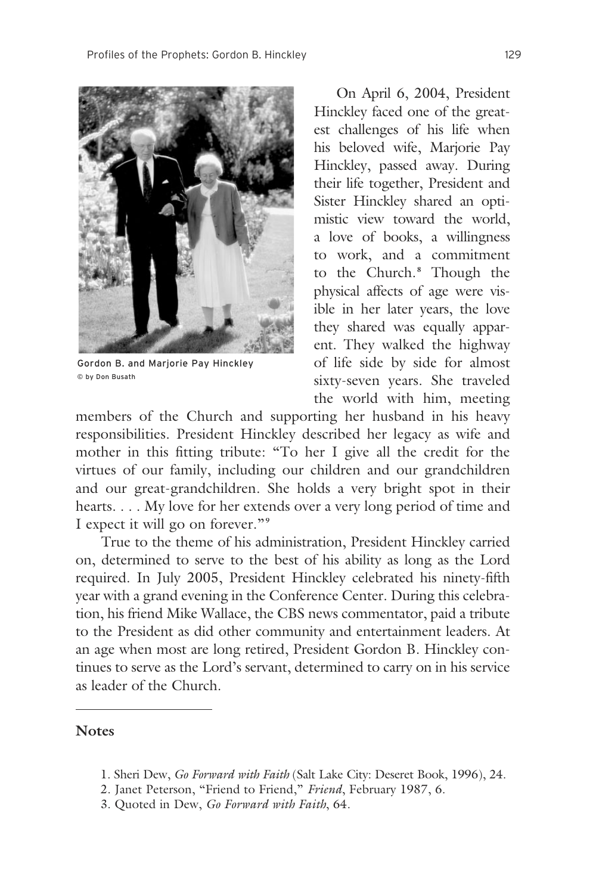

Gordon B. and Marjorie Pay Hinckley © by Don Busath

 On April 6, 2004, President Hinckley faced one of the greatest challenges of his life when his beloved wife, Marjorie Pay Hinckley, passed away. During their life together, President and Sister Hinckley shared an optimistic view toward the world, a love of books, a willingness to work, and a commitment to the Church.**<sup>8</sup>** Though the physical affects of age were visible in her later years, the love they shared was equally apparent. They walked the highway of life side by side for almost sixty-seven years. She traveled the world with him, meeting

members of the Church and supporting her husband in his heavy responsibilities. President Hinckley described her legacy as wife and mother in this fitting tribute: "To her I give all the credit for the virtues of our family, including our children and our grandchildren and our great-grandchildren. She holds a very bright spot in their hearts. . . . My love for her extends over a very long period of time and I expect it will go on forever."**<sup>9</sup>**

 True to the theme of his administration, President Hinckley carried on, determined to serve to the best of his ability as long as the Lord required. In July 2005, President Hinckley celebrated his ninety-fifth year with a grand evening in the Conference Center. During this celebration, his friend Mike Wallace, the CBS news commentator, paid a tribute to the President as did other community and entertainment leaders. At an age when most are long retired, President Gordon B. Hinckley continues to serve as the Lord's servant, determined to carry on in his service as leader of the Church.

#### **Notes**

- 1. Sheri Dew, *Go Forward with Faith* (Salt Lake City: Deseret Book, 1996), 24.
- 2. Janet Peterson, "Friend to Friend," *Friend*, February 1987, 6.
- 3. Quoted in Dew, *Go Forward with Faith*, 64.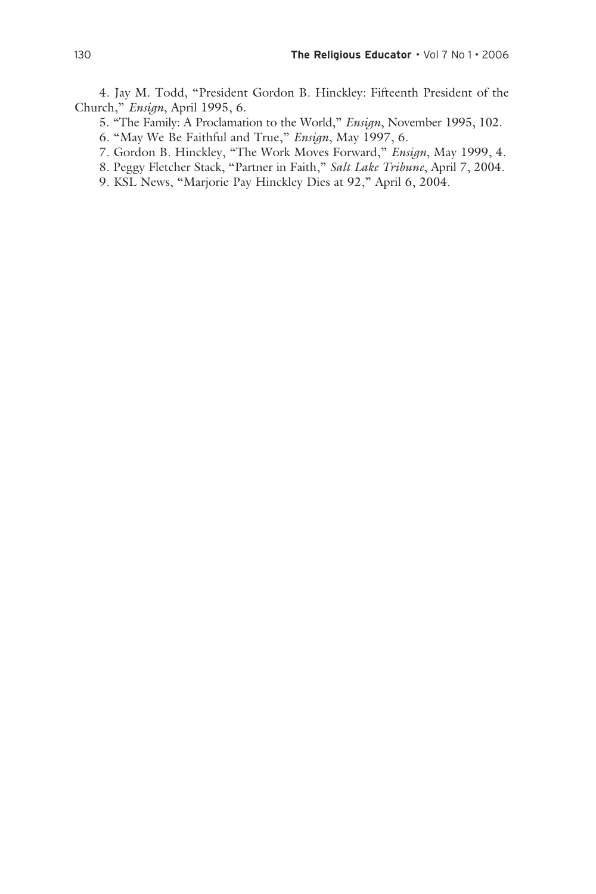4. Jay M. Todd, "President Gordon B. Hinckley: Fifteenth President of the Church," *Ensign*, April 1995, 6.

5. "The Family: A Proclamation to the World," *Ensign*, November 1995, 102.

6. "May We Be Faithful and True," *Ensign*, May 1997, 6.

7. Gordon B. Hinckley, "The Work Moves Forward," *Ensign*, May 1999, 4.

8. Peggy Fletcher Stack, "Partner in Faith," *Salt Lake Tribune*, April 7, 2004.

9. KSL News, "Marjorie Pay Hinckley Dies at 92," April 6, 2004.